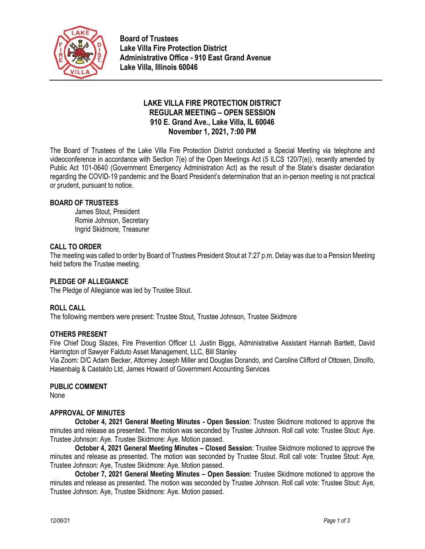

**Board of Trustees Lake Villa Fire Protection District Administrative Office - 910 East Grand Avenue Lake Villa, Illinois 60046**

# **LAKE VILLA FIRE PROTECTION DISTRICT REGULAR MEETING – OPEN SESSION 910 E. Grand Ave., Lake Villa, IL 60046 November 1, 2021, 7:00 PM**

The Board of Trustees of the Lake Villa Fire Protection District conducted a Special Meeting via telephone and videoconference in accordance with Section 7(e) of the Open Meetings Act (5 ILCS 120/7(e)), recently amended by Public Act 101-0640 (Government Emergency Administration Act) as the result of the State's disaster declaration regarding the COVID-19 pandemic and the Board President's determination that an in-person meeting is not practical or prudent, pursuant to notice.

### **BOARD OF TRUSTEES**

James Stout, President Romie Johnson, Secretary Ingrid Skidmore, Treasurer

### **CALL TO ORDER**

The meeting was called to order by Board of Trustees President Stout at 7:27 p.m. Delay was due to a Pension Meeting held before the Trustee meeting.

# **PLEDGE OF ALLEGIANCE**

The Pledge of Allegiance was led by Trustee Stout.

#### **ROLL CALL**

The following members were present: Trustee Stout, Trustee Johnson, Trustee Skidmore

#### **OTHERS PRESENT**

Fire Chief Doug Slazes, Fire Prevention Officer Lt. Justin Biggs, Administrative Assistant Hannah Bartlett, David Harrington of Sawyer Falduto Asset Management, LLC, Bill Stanley

Via Zoom: D/C Adam Becker, Attorney Joseph Miller and Douglas Dorando, and Caroline Clifford of Ottosen, Dinolfo, Hasenbalg & Castaldo Ltd, James Howard of Government Accounting Services

#### **PUBLIC COMMENT**

None

### **APPROVAL OF MINUTES**

**October 4, 2021 General Meeting Minutes - Open Session**: Trustee Skidmore motioned to approve the minutes and release as presented. The motion was seconded by Trustee Johnson. Roll call vote: Trustee Stout: Aye. Trustee Johnson: Aye. Trustee Skidmore: Aye. Motion passed.

**October 4, 2021 General Meeting Minutes – Closed Session**: Trustee Skidmore motioned to approve the minutes and release as presented. The motion was seconded by Trustee Stout. Roll call vote: Trustee Stout: Aye, Trustee Johnson: Aye, Trustee Skidmore: Aye. Motion passed.

**October 7, 2021 General Meeting Minutes – Open Session**: Trustee Skidmore motioned to approve the minutes and release as presented. The motion was seconded by Trustee Johnson. Roll call vote: Trustee Stout: Aye, Trustee Johnson: Aye, Trustee Skidmore: Aye. Motion passed.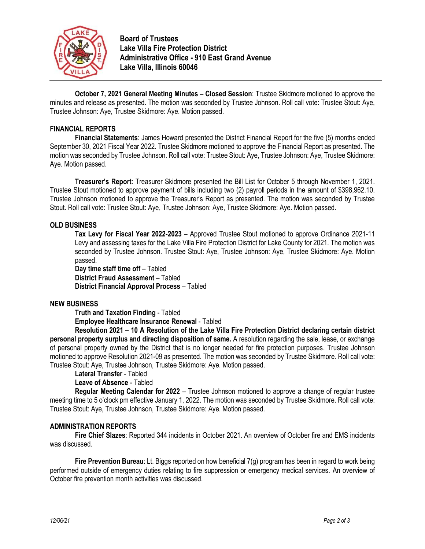

**Board of Trustees Lake Villa Fire Protection District Administrative Office - 910 East Grand Avenue Lake Villa, Illinois 60046**

**October 7, 2021 General Meeting Minutes – Closed Session**: Trustee Skidmore motioned to approve the minutes and release as presented. The motion was seconded by Trustee Johnson. Roll call vote: Trustee Stout: Aye, Trustee Johnson: Aye, Trustee Skidmore: Aye. Motion passed.

### **FINANCIAL REPORTS**

**Financial Statements**: James Howard presented the District Financial Report for the five (5) months ended September 30, 2021 Fiscal Year 2022. Trustee Skidmore motioned to approve the Financial Report as presented. The motion was seconded by Trustee Johnson. Roll call vote: Trustee Stout: Aye, Trustee Johnson: Aye, Trustee Skidmore: Aye. Motion passed.

**Treasurer's Report**: Treasurer Skidmore presented the Bill List for October 5 through November 1, 2021. Trustee Stout motioned to approve payment of bills including two (2) payroll periods in the amount of \$398,962.10. Trustee Johnson motioned to approve the Treasurer's Report as presented. The motion was seconded by Trustee Stout. Roll call vote: Trustee Stout: Aye, Trustee Johnson: Aye, Trustee Skidmore: Aye. Motion passed.

#### **OLD BUSINESS**

**Tax Levy for Fiscal Year 2022-2023** – Approved Trustee Stout motioned to approve Ordinance 2021-11 Levy and assessing taxes for the Lake Villa Fire Protection District for Lake County for 2021. The motion was seconded by Trustee Johnson. Trustee Stout: Aye, Trustee Johnson: Aye, Trustee Skidmore: Aye. Motion passed.

**Day time staff time off** – Tabled **District Fraud Assessment** – Tabled **District Financial Approval Process** – Tabled

#### **NEW BUSINESS**

**Truth and Taxation Finding** - Tabled

**Employee Healthcare Insurance Renewal** - Tabled

**Resolution 2021 – 10 A Resolution of the Lake Villa Fire Protection District declaring certain district personal property surplus and directing disposition of same.** A resolution regarding the sale, lease, or exchange of personal property owned by the District that is no longer needed for fire protection purposes. Trustee Johnson motioned to approve Resolution 2021-09 as presented. The motion was seconded by Trustee Skidmore. Roll call vote: Trustee Stout: Aye, Trustee Johnson, Trustee Skidmore: Aye. Motion passed.

**Lateral Transfer** - Tabled

#### **Leave of Absence** - Tabled

**Regular Meeting Calendar for 2022** – Trustee Johnson motioned to approve a change of regular trustee meeting time to 5 o'clock pm effective January 1, 2022. The motion was seconded by Trustee Skidmore. Roll call vote: Trustee Stout: Aye, Trustee Johnson, Trustee Skidmore: Aye. Motion passed.

#### **ADMINISTRATION REPORTS**

**Fire Chief Slazes**: Reported 344 incidents in October 2021. An overview of October fire and EMS incidents was discussed.

**Fire Prevention Bureau**: Lt. Biggs reported on how beneficial 7(g) program has been in regard to work being performed outside of emergency duties relating to fire suppression or emergency medical services. An overview of October fire prevention month activities was discussed.